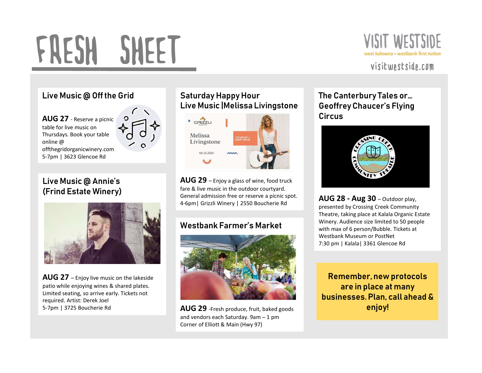# FRESH SHEET AUG 27 - Reserve a picnic<br>
AUG 27 - Reserve a picnic<br>
aug 27 - Reserve a picnic<br>
animatosys. Book your table<br>
online @<br>
offthegridorganicwinery.com<br>
S-7pm | 3623 Glencoe Rd<br>
S-7pm | 3623 Glencoe Rd



## Live Music @ Off the Grid

table for live music on Thursdays. Book your table online @ offthegridorganicwinery.com 5-7pm | 3623 Glencoe Rd

# Live Music @ Annie's



patio while enjoying wines & shared plates. Limited seating, so arrive early. Tickets not required. Artist: Derek Joel

## Saturday Happy Hour Live Music |Melissa Livingstone



fare & live music in the outdoor courtyard. General admission free or reserve a picnic spot.<br> **AUG 28 - Aug 30** - Outdoor play,



AUG 29 -Fresh produce, fruit, baked goods Corner of Elliott & Main (Hwy 97)

## The Canterbury Tales or… Geoffrey Chaucer's Flying **Circus**



presented by Crossing Creek Community Winery. Audience size limited to 50 people with max of 6 person/Bubble. Tickets at 7:30 pm | Kalala| 3361 Glencoe Rd

Remember, new protocols are in place at many businesses. Plan, call ahead & enjoy!